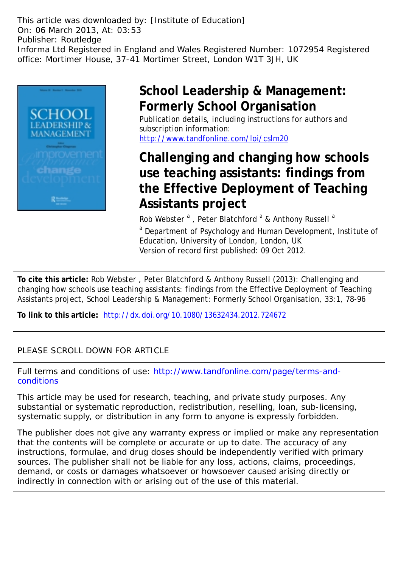This article was downloaded by: [Institute of Education] On: 06 March 2013, At: 03:53 Publisher: Routledge Informa Ltd Registered in England and Wales Registered Number: 1072954 Registered office: Mortimer House, 37-41 Mortimer Street, London W1T 3JH, UK



# **School Leadership & Management: Formerly School Organisation**

Publication details, including instructions for authors and subscription information: <http://www.tandfonline.com/loi/cslm20>

# **Challenging and changing how schools use teaching assistants: findings from the Effective Deployment of Teaching Assistants project**

Rob Webster<sup>a</sup>, Peter Blatchford<sup>a</sup> & Anthony Russell<sup>a</sup> <sup>a</sup> Department of Psychology and Human Development, Institute of Education, University of London, London, UK Version of record first published: 09 Oct 2012.

**To cite this article:** Rob Webster , Peter Blatchford & Anthony Russell (2013): Challenging and changing how schools use teaching assistants: findings from the Effective Deployment of Teaching Assistants project, School Leadership & Management: Formerly School Organisation, 33:1, 78-96

**To link to this article:** <http://dx.doi.org/10.1080/13632434.2012.724672>

# PLEASE SCROLL DOWN FOR ARTICLE

Full terms and conditions of use: [http://www.tandfonline.com/page/terms-and](http://www.tandfonline.com/page/terms-and-conditions)[conditions](http://www.tandfonline.com/page/terms-and-conditions)

This article may be used for research, teaching, and private study purposes. Any substantial or systematic reproduction, redistribution, reselling, loan, sub-licensing, systematic supply, or distribution in any form to anyone is expressly forbidden.

The publisher does not give any warranty express or implied or make any representation that the contents will be complete or accurate or up to date. The accuracy of any instructions, formulae, and drug doses should be independently verified with primary sources. The publisher shall not be liable for any loss, actions, claims, proceedings, demand, or costs or damages whatsoever or howsoever caused arising directly or indirectly in connection with or arising out of the use of this material.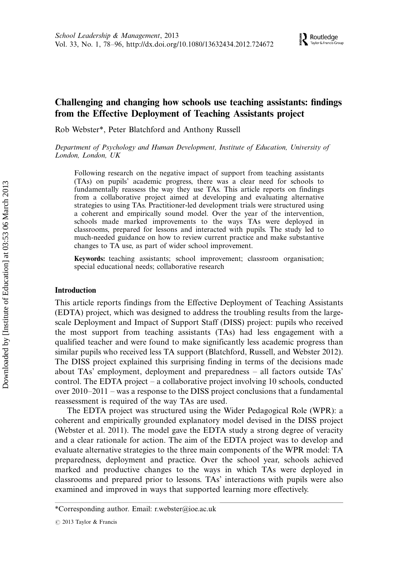# Challenging and changing how schools use teaching assistants: findings from the Effective Deployment of Teaching Assistants project

Rob Webster\*, Peter Blatchford and Anthony Russell

Department of Psychology and Human Development, Institute of Education, University of London, London, UK

Following research on the negative impact of support from teaching assistants (TAs) on pupils' academic progress, there was a clear need for schools to fundamentally reassess the way they use TAs. This article reports on findings from a collaborative project aimed at developing and evaluating alternative strategies to using TAs. Practitioner-led development trials were structured using a coherent and empirically sound model. Over the year of the intervention, schools made marked improvements to the ways TAs were deployed in classrooms, prepared for lessons and interacted with pupils. The study led to much-needed guidance on how to review current practice and make substantive changes to TA use, as part of wider school improvement.

Keywords: teaching assistants; school improvement; classroom organisation; special educational needs; collaborative research

### Introduction

This article reports findings from the Effective Deployment of Teaching Assistants (EDTA) project, which was designed to address the troubling results from the largescale Deployment and Impact of Support Staff (DISS) project: pupils who received the most support from teaching assistants (TAs) had less engagement with a qualified teacher and were found to make significantly less academic progress than similar pupils who received less TA support (Blatchford, Russell, and Webster 2012). The DISS project explained this surprising finding in terms of the decisions made about TAs' employment, deployment and preparedness all factors outside TAs' control. The EDTA project  $-$  a collaborative project involving 10 schools, conducted over  $2010-2011$  – was a response to the DISS project conclusions that a fundamental reassessment is required of the way TAs are used.

The EDTA project was structured using the Wider Pedagogical Role (WPR): a coherent and empirically grounded explanatory model devised in the DISS project (Webster et al. 2011). The model gave the EDTA study a strong degree of veracity and a clear rationale for action. The aim of the EDTA project was to develop and evaluate alternative strategies to the three main components of the WPR model: TA preparedness, deployment and practice. Over the school year, schools achieved marked and productive changes to the ways in which TAs were deployed in classrooms and prepared prior to lessons. TAs' interactions with pupils were also examined and improved in ways that supported learning more effectively.

<sup>\*</sup>Corresponding author. Email: r.webster@ioe.ac.uk

C 2013 Taylor & Francis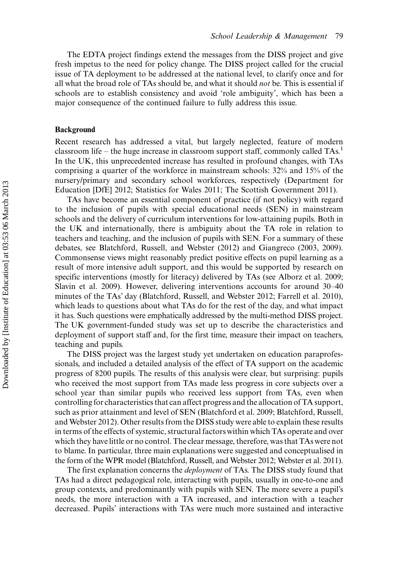The EDTA project findings extend the messages from the DISS project and give fresh impetus to the need for policy change. The DISS project called for the crucial issue of TA deployment to be addressed at the national level, to clarify once and for all what the broad role of TAs should be, and what it should not be. This is essential if schools are to establish consistency and avoid 'role ambiguity', which has been a major consequence of the continued failure to fully address this issue.

#### Background

Recent research has addressed a vital, but largely neglected, feature of modern classroom life  $-$  the huge increase in classroom support staff, commonly called TAs.<sup>1</sup> In the UK, this unprecedented increase has resulted in profound changes, with TAs comprising a quarter of the workforce in mainstream schools: 32% and 15% of the nursery/primary and secondary school workforces, respectively (Department for Education [DfE] 2012; Statistics for Wales 2011; The Scottish Government 2011).

TAs have become an essential component of practice (if not policy) with regard to the inclusion of pupils with special educational needs (SEN) in mainstream schools and the delivery of curriculum interventions for low-attaining pupils. Both in the UK and internationally, there is ambiguity about the TA role in relation to teachers and teaching, and the inclusion of pupils with SEN. For a summary of these debates, see Blatchford, Russell, and Webster (2012) and Giangreco (2003, 2009). Commonsense views might reasonably predict positive effects on pupil learning as a result of more intensive adult support, and this would be supported by research on specific interventions (mostly for literacy) delivered by TAs (see Alborz et al. 2009; Slavin et al. 2009). However, delivering interventions accounts for around 30–40 minutes of the TAs' day (Blatchford, Russell, and Webster 2012; Farrell et al. 2010), which leads to questions about what TAs do for the rest of the day, and what impact it has. Such questions were emphatically addressed by the multi-method DISS project. The UK government-funded study was set up to describe the characteristics and deployment of support staff and, for the first time, measure their impact on teachers, teaching and pupils.

The DISS project was the largest study yet undertaken on education paraprofessionals, and included a detailed analysis of the effect of TA support on the academic progress of 8200 pupils. The results of this analysis were clear, but surprising: pupils who received the most support from TAs made less progress in core subjects over a school year than similar pupils who received less support from TAs, even when controlling for characteristics that can affect progress and the allocation of TA support, such as prior attainment and level of SEN (Blatchford et al. 2009; Blatchford, Russell, and Webster 2012). Other results from the DISS study were able to explain these results in terms of the effects of systemic, structural factors within which TAs operate and over which they have little or no control. The clear message, therefore, was that TAs were not to blame. In particular, three main explanations were suggested and conceptualised in the form of the WPR model (Blatchford, Russell, and Webster 2012; Webster et al. 2011).

The first explanation concerns the deployment of TAs. The DISS study found that TAs had a direct pedagogical role, interacting with pupils, usually in one-to-one and group contexts, and predominantly with pupils with SEN. The more severe a pupil's needs, the more interaction with a TA increased, and interaction with a teacher decreased. Pupils' interactions with TAs were much more sustained and interactive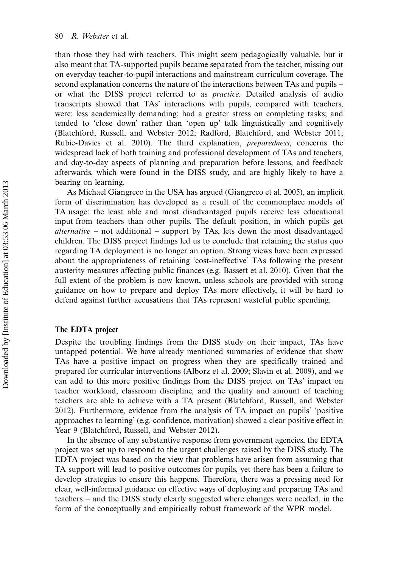than those they had with teachers. This might seem pedagogically valuable, but it also meant that TA-supported pupils became separated from the teacher, missing out on everyday teacher-to-pupil interactions and mainstream curriculum coverage. The second explanation concerns the nature of the interactions between TAs and pupils or what the DISS project referred to as practice. Detailed analysis of audio transcripts showed that TAs' interactions with pupils, compared with teachers, were: less academically demanding; had a greater stress on completing tasks; and tended to 'close down' rather than 'open up' talk linguistically and cognitively (Blatchford, Russell, and Webster 2012; Radford, Blatchford, and Webster 2011; Rubie-Davies et al. 2010). The third explanation, preparedness, concerns the widespread lack of both training and professional development of TAs and teachers, and day-to-day aspects of planning and preparation before lessons, and feedback afterwards, which were found in the DISS study, and are highly likely to have a bearing on learning.

As Michael Giangreco in the USA has argued (Giangreco et al. 2005), an implicit form of discrimination has developed as a result of the commonplace models of TA usage: the least able and most disadvantaged pupils receive less educational input from teachers than other pupils. The default position, in which pupils get  $\alpha$ dternative – not additional – support by TAs, lets down the most disadvantaged children. The DISS project findings led us to conclude that retaining the status quo regarding TA deployment is no longer an option. Strong views have been expressed about the appropriateness of retaining 'cost-ineffective' TAs following the present austerity measures affecting public finances (e.g. Bassett et al. 2010). Given that the full extent of the problem is now known, unless schools are provided with strong guidance on how to prepare and deploy TAs more effectively, it will be hard to defend against further accusations that TAs represent wasteful public spending.

#### The EDTA project

Despite the troubling findings from the DISS study on their impact, TAs have untapped potential. We have already mentioned summaries of evidence that show TAs have a positive impact on progress when they are specifically trained and prepared for curricular interventions (Alborz et al. 2009; Slavin et al. 2009), and we can add to this more positive findings from the DISS project on TAs' impact on teacher workload, classroom discipline, and the quality and amount of teaching teachers are able to achieve with a TA present (Blatchford, Russell, and Webster 2012). Furthermore, evidence from the analysis of TA impact on pupils' 'positive approaches to learning' (e.g. confidence, motivation) showed a clear positive effect in Year 9 (Blatchford, Russell, and Webster 2012).

In the absence of any substantive response from government agencies, the EDTA project was set up to respond to the urgent challenges raised by the DISS study. The EDTA project was based on the view that problems have arisen from assuming that TA support will lead to positive outcomes for pupils, yet there has been a failure to develop strategies to ensure this happens. Therefore, there was a pressing need for clear, well-informed guidance on effective ways of deploying and preparing TAs and teachers – and the DISS study clearly suggested where changes were needed, in the form of the conceptually and empirically robust framework of the WPR model.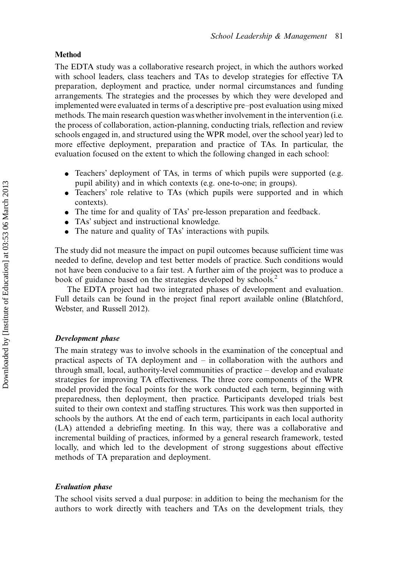#### Method

The EDTA study was a collaborative research project, in which the authors worked with school leaders, class teachers and TAs to develop strategies for effective TA preparation, deployment and practice, under normal circumstances and funding arrangements. The strategies and the processes by which they were developed and implemented were evaluated in terms of a descriptive pre-post evaluation using mixed methods. The main research question was whether involvement in the intervention (i.e. the process of collaboration, action-planning, conducting trials, reflection and review schools engaged in, and structured using the WPR model, over the school year) led to more effective deployment, preparation and practice of TAs. In particular, the evaluation focused on the extent to which the following changed in each school:

- Teachers' deployment of TAs, in terms of which pupils were supported (e.g. pupil ability) and in which contexts (e.g. one-to-one; in groups).
- Teachers' role relative to TAs (which pupils were supported and in which contexts).
- The time for and quality of TAs' pre-lesson preparation and feedback.
- TAs' subject and instructional knowledge.
- The nature and quality of TAs' interactions with pupils.

The study did not measure the impact on pupil outcomes because sufficient time was needed to define, develop and test better models of practice. Such conditions would not have been conducive to a fair test. A further aim of the project was to produce a book of guidance based on the strategies developed by schools.<sup>2</sup>

The EDTA project had two integrated phases of development and evaluation. Full details can be found in the project final report available online (Blatchford, Webster, and Russell 2012).

#### Development phase

The main strategy was to involve schools in the examination of the conceptual and practical aspects of TA deployment and  $-$  in collaboration with the authors and through small, local, authority-level communities of practice develop and evaluate strategies for improving TA effectiveness. The three core components of the WPR model provided the focal points for the work conducted each term, beginning with preparedness, then deployment, then practice. Participants developed trials best suited to their own context and staffing structures. This work was then supported in schools by the authors. At the end of each term, participants in each local authority (LA) attended a debriefing meeting. In this way, there was a collaborative and incremental building of practices, informed by a general research framework, tested locally, and which led to the development of strong suggestions about effective methods of TA preparation and deployment.

# Evaluation phase

The school visits served a dual purpose: in addition to being the mechanism for the authors to work directly with teachers and TAs on the development trials, they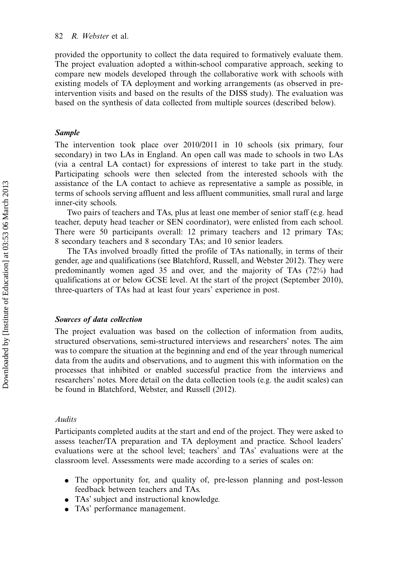provided the opportunity to collect the data required to formatively evaluate them. The project evaluation adopted a within-school comparative approach, seeking to compare new models developed through the collaborative work with schools with existing models of TA deployment and working arrangements (as observed in preintervention visits and based on the results of the DISS study). The evaluation was based on the synthesis of data collected from multiple sources (described below).

#### Sample

The intervention took place over 2010/2011 in 10 schools (six primary, four secondary) in two LAs in England. An open call was made to schools in two LAs (via a central LA contact) for expressions of interest to take part in the study. Participating schools were then selected from the interested schools with the assistance of the LA contact to achieve as representative a sample as possible, in terms of schools serving affluent and less affluent communities, small rural and large inner-city schools.

Two pairs of teachers and TAs, plus at least one member of senior staff (e.g. head teacher, deputy head teacher or SEN coordinator), were enlisted from each school. There were 50 participants overall: 12 primary teachers and 12 primary TAs; 8 secondary teachers and 8 secondary TAs; and 10 senior leaders.

The TAs involved broadly fitted the profile of TAs nationally, in terms of their gender, age and qualifications (see Blatchford, Russell, and Webster 2012). They were predominantly women aged 35 and over, and the majority of TAs (72%) had qualifications at or below GCSE level. At the start of the project (September 2010), three-quarters of TAs had at least four years' experience in post.

#### Sources of data collection

The project evaluation was based on the collection of information from audits, structured observations, semi-structured interviews and researchers' notes. The aim was to compare the situation at the beginning and end of the year through numerical data from the audits and observations, and to augment this with information on the processes that inhibited or enabled successful practice from the interviews and researchers' notes. More detail on the data collection tools (e.g. the audit scales) can be found in Blatchford, Webster, and Russell (2012).

#### Audits

Participants completed audits at the start and end of the project. They were asked to assess teacher/TA preparation and TA deployment and practice. School leaders' evaluations were at the school level; teachers' and TAs' evaluations were at the classroom level. Assessments were made according to a series of scales on:

- The opportunity for, and quality of, pre-lesson planning and post-lesson feedback between teachers and TAs.
- TAs' subject and instructional knowledge.
- TAs' performance management.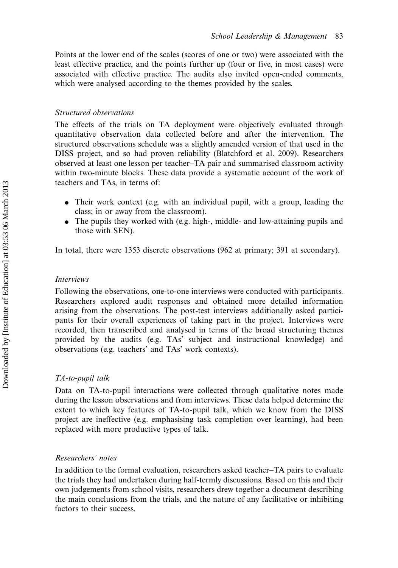Points at the lower end of the scales (scores of one or two) were associated with the least effective practice, and the points further up (four or five, in most cases) were associated with effective practice. The audits also invited open-ended comments, which were analysed according to the themes provided by the scales.

### Structured observations

The effects of the trials on TA deployment were objectively evaluated through quantitative observation data collected before and after the intervention. The structured observations schedule was a slightly amended version of that used in the DISS project, and so had proven reliability (Blatchford et al. 2009). Researchers observed at least one lesson per teacher–TA pair and summarised classroom activity within two-minute blocks. These data provide a systematic account of the work of teachers and TAs, in terms of:

- Their work context (e.g. with an individual pupil, with a group, leading the class; in or away from the classroom).
- The pupils they worked with (e.g. high-, middle- and low-attaining pupils and those with SEN).

In total, there were 1353 discrete observations (962 at primary; 391 at secondary).

# Interviews

Following the observations, one-to-one interviews were conducted with participants. Researchers explored audit responses and obtained more detailed information arising from the observations. The post-test interviews additionally asked participants for their overall experiences of taking part in the project. Interviews were recorded, then transcribed and analysed in terms of the broad structuring themes provided by the audits (e.g. TAs' subject and instructional knowledge) and observations (e.g. teachers' and TAs' work contexts).

# TA-to-pupil talk

Data on TA-to-pupil interactions were collected through qualitative notes made during the lesson observations and from interviews. These data helped determine the extent to which key features of TA-to-pupil talk, which we know from the DISS project are ineffective (e.g. emphasising task completion over learning), had been replaced with more productive types of talk.

### Researchers' notes

In addition to the formal evaluation, researchers asked teacher–TA pairs to evaluate the trials they had undertaken during half-termly discussions. Based on this and their own judgements from school visits, researchers drew together a document describing the main conclusions from the trials, and the nature of any facilitative or inhibiting factors to their success.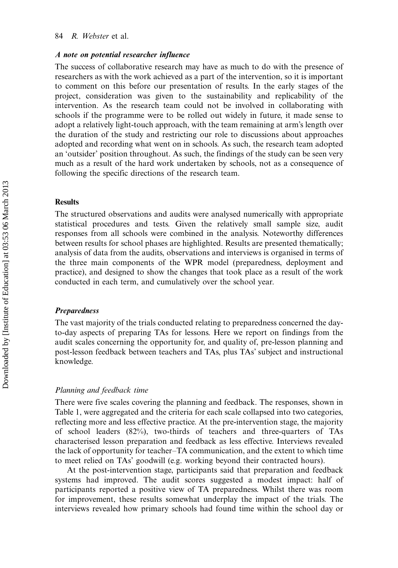#### 84 R. Webster et al.

### A note on potential researcher influence

The success of collaborative research may have as much to do with the presence of researchers as with the work achieved as a part of the intervention, so it is important to comment on this before our presentation of results. In the early stages of the project, consideration was given to the sustainability and replicability of the intervention. As the research team could not be involved in collaborating with schools if the programme were to be rolled out widely in future, it made sense to adopt a relatively light-touch approach, with the team remaining at arm's length over the duration of the study and restricting our role to discussions about approaches adopted and recording what went on in schools. As such, the research team adopted an 'outsider' position throughout. As such, the findings of the study can be seen very much as a result of the hard work undertaken by schools, not as a consequence of following the specific directions of the research team.

#### Results

The structured observations and audits were analysed numerically with appropriate statistical procedures and tests. Given the relatively small sample size, audit responses from all schools were combined in the analysis. Noteworthy differences between results for school phases are highlighted. Results are presented thematically; analysis of data from the audits, observations and interviews is organised in terms of the three main components of the WPR model (preparedness, deployment and practice), and designed to show the changes that took place as a result of the work conducted in each term, and cumulatively over the school year.

#### Preparedness

The vast majority of the trials conducted relating to preparedness concerned the dayto-day aspects of preparing TAs for lessons. Here we report on findings from the audit scales concerning the opportunity for, and quality of, pre-lesson planning and post-lesson feedback between teachers and TAs, plus TAs' subject and instructional knowledge.

# Planning and feedback time

There were five scales covering the planning and feedback. The responses, shown in Table 1, were aggregated and the criteria for each scale collapsed into two categories, reflecting more and less effective practice. At the pre-intervention stage, the majority of school leaders (82%), two-thirds of teachers and three-quarters of TAs characterised lesson preparation and feedback as less effective. Interviews revealed the lack of opportunity for teacher–TA communication, and the extent to which time to meet relied on TAs' goodwill (e.g. working beyond their contracted hours).

At the post-intervention stage, participants said that preparation and feedback systems had improved. The audit scores suggested a modest impact: half of participants reported a positive view of TA preparedness. Whilst there was room for improvement, these results somewhat underplay the impact of the trials. The interviews revealed how primary schools had found time within the school day or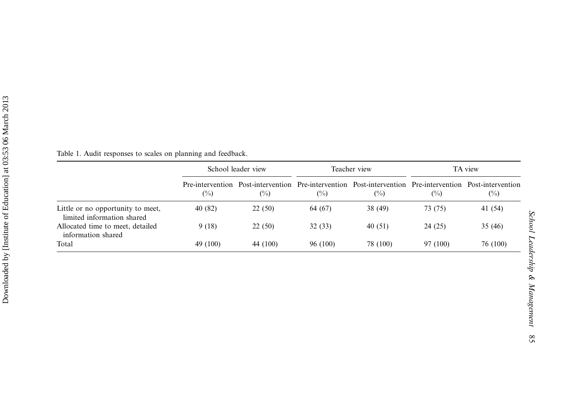Table 1. Audit responses to scales on planning and feedback.

|                                                                 | School leader view |                                                                                                                    | Teacher view        |          | TA view  |          |
|-----------------------------------------------------------------|--------------------|--------------------------------------------------------------------------------------------------------------------|---------------------|----------|----------|----------|
|                                                                 | $(\%)$             | Pre-intervention Post-intervention Pre-intervention Post-intervention Pre-intervention Post-intervention<br>$(\%)$ | $\frac{O(1)}{O(1)}$ | $(\%)$   | $(\%)$   | $(\%)$   |
| Little or no opportunity to meet,<br>limited information shared | 40 (82)            | 22(50)                                                                                                             | 64 (67)             | 38 (49)  | 73 (75)  | 41 (54)  |
| Allocated time to meet, detailed<br>information shared          | 9 (18)             | 22(50)                                                                                                             | 32(33)              | 40(51)   | 24(25)   | 35 (46)  |
| Total                                                           | 49 (100)           | 44 (100)                                                                                                           | 96 (100)            | 78 (100) | 97 (100) | 76 (100) |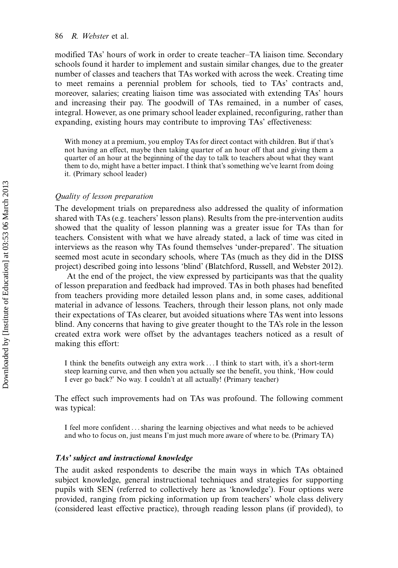modified TAs' hours of work in order to create teacher-TA liaison time. Secondary schools found it harder to implement and sustain similar changes, due to the greater number of classes and teachers that TAs worked with across the week. Creating time to meet remains a perennial problem for schools, tied to TAs' contracts and, moreover, salaries; creating liaison time was associated with extending TAs' hours and increasing their pay. The goodwill of TAs remained, in a number of cases, integral. However, as one primary school leader explained, reconfiguring, rather than expanding, existing hours may contribute to improving TAs' effectiveness:

With money at a premium, you employ TAs for direct contact with children. But if that's not having an effect, maybe then taking quarter of an hour off that and giving them a quarter of an hour at the beginning of the day to talk to teachers about what they want them to do, might have a better impact. I think that's something we've learnt from doing it. (Primary school leader)

### Quality of lesson preparation

The development trials on preparedness also addressed the quality of information shared with TAs (e.g. teachers' lesson plans). Results from the pre-intervention audits showed that the quality of lesson planning was a greater issue for TAs than for teachers. Consistent with what we have already stated, a lack of time was cited in interviews as the reason why TAs found themselves 'under-prepared'. The situation seemed most acute in secondary schools, where TAs (much as they did in the DISS project) described going into lessons 'blind' (Blatchford, Russell, and Webster 2012).

At the end of the project, the view expressed by participants was that the quality of lesson preparation and feedback had improved. TAs in both phases had benefited from teachers providing more detailed lesson plans and, in some cases, additional material in advance of lessons. Teachers, through their lesson plans, not only made their expectations of TAs clearer, but avoided situations where TAs went into lessons blind. Any concerns that having to give greater thought to the TA's role in the lesson created extra work were offset by the advantages teachers noticed as a result of making this effort:

I think the benefits outweigh any extra work ...I think to start with, it's a short-term steep learning curve, and then when you actually see the benefit, you think, 'How could I ever go back?' No way. I couldn't at all actually! (Primary teacher)

The effect such improvements had on TAs was profound. The following comment was typical:

I feel more confident ...sharing the learning objectives and what needs to be achieved and who to focus on, just means I'm just much more aware of where to be. (Primary TA)

### TAs' subject and instructional knowledge

The audit asked respondents to describe the main ways in which TAs obtained subject knowledge, general instructional techniques and strategies for supporting pupils with SEN (referred to collectively here as 'knowledge'). Four options were provided, ranging from picking information up from teachers' whole class delivery (considered least effective practice), through reading lesson plans (if provided), to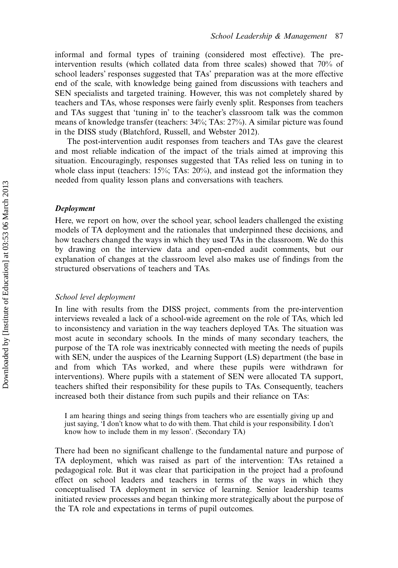informal and formal types of training (considered most effective). The preintervention results (which collated data from three scales) showed that 70% of school leaders' responses suggested that TAs' preparation was at the more effective end of the scale, with knowledge being gained from discussions with teachers and SEN specialists and targeted training. However, this was not completely shared by teachers and TAs, whose responses were fairly evenly split. Responses from teachers and TAs suggest that 'tuning in' to the teacher's classroom talk was the common means of knowledge transfer (teachers: 34%; TAs: 27%). A similar picture was found in the DISS study (Blatchford, Russell, and Webster 2012).

The post-intervention audit responses from teachers and TAs gave the clearest and most reliable indication of the impact of the trials aimed at improving this situation. Encouragingly, responses suggested that TAs relied less on tuning in to whole class input (teachers:  $15\%$ ; TAs:  $20\%$ ), and instead got the information they needed from quality lesson plans and conversations with teachers.

#### Deployment

Here, we report on how, over the school year, school leaders challenged the existing models of TA deployment and the rationales that underpinned these decisions, and how teachers changed the ways in which they used TAs in the classroom. We do this by drawing on the interview data and open-ended audit comments, but our explanation of changes at the classroom level also makes use of findings from the structured observations of teachers and TAs.

#### School level deployment

In line with results from the DISS project, comments from the pre-intervention interviews revealed a lack of a school-wide agreement on the role of TAs, which led to inconsistency and variation in the way teachers deployed TAs. The situation was most acute in secondary schools. In the minds of many secondary teachers, the purpose of the TA role was inextricably connected with meeting the needs of pupils with SEN, under the auspices of the Learning Support (LS) department (the base in and from which TAs worked, and where these pupils were withdrawn for interventions). Where pupils with a statement of SEN were allocated TA support, teachers shifted their responsibility for these pupils to TAs. Consequently, teachers increased both their distance from such pupils and their reliance on TAs:

I am hearing things and seeing things from teachers who are essentially giving up and just saying, 'I don't know what to do with them. That child is your responsibility. I don't know how to include them in my lesson'. (Secondary TA)

There had been no significant challenge to the fundamental nature and purpose of TA deployment, which was raised as part of the intervention: TAs retained a pedagogical role. But it was clear that participation in the project had a profound effect on school leaders and teachers in terms of the ways in which they conceptualised TA deployment in service of learning. Senior leadership teams initiated review processes and began thinking more strategically about the purpose of the TA role and expectations in terms of pupil outcomes.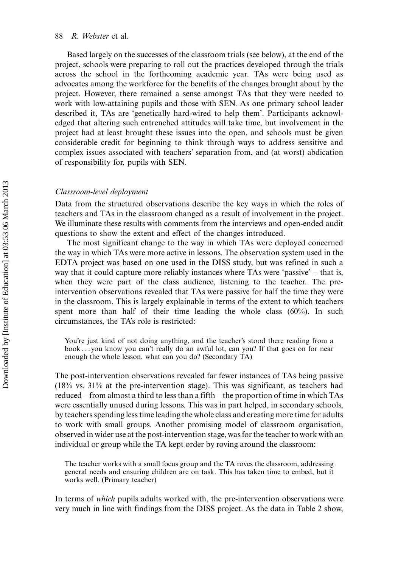Based largely on the successes of the classroom trials (see below), at the end of the project, schools were preparing to roll out the practices developed through the trials across the school in the forthcoming academic year. TAs were being used as advocates among the workforce for the benefits of the changes brought about by the project. However, there remained a sense amongst TAs that they were needed to work with low-attaining pupils and those with SEN. As one primary school leader described it, TAs are 'genetically hard-wired to help them'. Participants acknowledged that altering such entrenched attitudes will take time, but involvement in the project had at least brought these issues into the open, and schools must be given considerable credit for beginning to think through ways to address sensitive and complex issues associated with teachers' separation from, and (at worst) abdication of responsibility for, pupils with SEN.

#### Classroom-level deployment

Data from the structured observations describe the key ways in which the roles of teachers and TAs in the classroom changed as a result of involvement in the project. We illuminate these results with comments from the interviews and open-ended audit questions to show the extent and effect of the changes introduced.

The most significant change to the way in which TAs were deployed concerned the way in which TAs were more active in lessons. The observation system used in the EDTA project was based on one used in the DISS study, but was refined in such a way that it could capture more reliably instances where TAs were 'passive' – that is, when they were part of the class audience, listening to the teacher. The preintervention observations revealed that TAs were passive for half the time they were in the classroom. This is largely explainable in terms of the extent to which teachers spent more than half of their time leading the whole class (60%). In such circumstances, the TA's role is restricted:

You're just kind of not doing anything, and the teacher's stood there reading from a book ... you know you can't really do an awful lot, can you? If that goes on for near enough the whole lesson, what can you do? (Secondary TA)

The post-intervention observations revealed far fewer instances of TAs being passive  $(18\% \text{ vs. } 31\% \text{ at the pre-intervention stage})$ . This was significant, as teachers had reduced  $-$  from almost a third to less than a fifth  $-$  the proportion of time in which TAs were essentially unused during lessons. This was in part helped, in secondary schools, by teachers spending less time leading the whole class and creating more time for adults to work with small groups. Another promising model of classroom organisation, observed in wider use at the post-intervention stage, was for the teacher to work with an individual or group while the TA kept order by roving around the classroom:

The teacher works with a small focus group and the TA roves the classroom, addressing general needs and ensuring children are on task. This has taken time to embed, but it works well. (Primary teacher)

In terms of which pupils adults worked with, the pre-intervention observations were very much in line with findings from the DISS project. As the data in Table 2 show,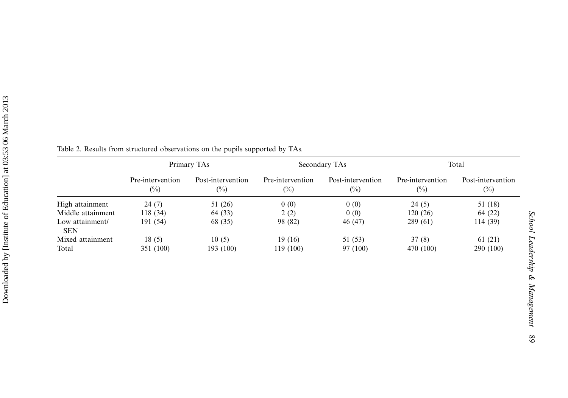|                               | Primary TAs                |                             | Secondary TAs              |                             | Total                      |                             |
|-------------------------------|----------------------------|-----------------------------|----------------------------|-----------------------------|----------------------------|-----------------------------|
|                               | Pre-intervention<br>$(\%)$ | Post-intervention<br>$(\%)$ | Pre-intervention<br>$(\%)$ | Post-intervention<br>$(\%)$ | Pre-intervention<br>$(\%)$ | Post-intervention<br>$(\%)$ |
| High attainment               | 24(7)                      | 51 (26)                     | 0(0)                       | 0(0)                        | 24(5)                      | 51 (18)                     |
| Middle attainment             | 118 (34)                   | 64 (33)                     | 2(2)                       | 0(0)                        | 120 (26)                   | 64 (22)                     |
| Low attainment/<br><b>SEN</b> | 191 (54)                   | 68 (35)                     | 98 (82)                    | 46 (47)                     | 289(61)                    | 114 (39)                    |
| Mixed attainment              | 18(5)                      | 10(5)                       | 19(16)                     | 51 (53)                     | 37(8)                      | 61 (21)                     |
| Total                         | 351 (100)                  | 193 (100)                   | 119 (100)                  | 97 (100)                    | 470 (100)                  | 290 (100)                   |

Table 2. Results from structured observations on the pupils supported by TAs.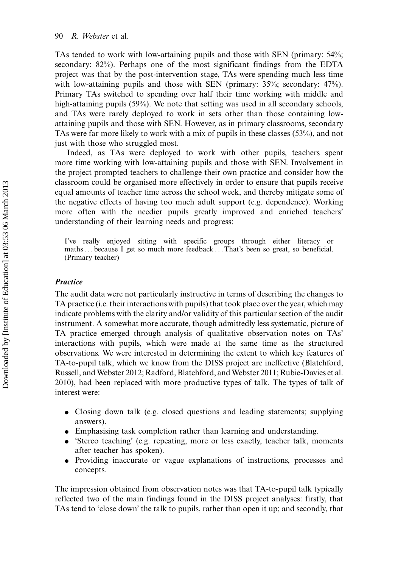TAs tended to work with low-attaining pupils and those with SEN (primary: 54%; secondary: 82%). Perhaps one of the most significant findings from the EDTA project was that by the post-intervention stage, TAs were spending much less time with low-attaining pupils and those with SEN (primary:  $35\%$ ; secondary:  $47\%$ ). Primary TAs switched to spending over half their time working with middle and high-attaining pupils (59%). We note that setting was used in all secondary schools, and TAs were rarely deployed to work in sets other than those containing lowattaining pupils and those with SEN. However, as in primary classrooms, secondary TAs were far more likely to work with a mix of pupils in these classes (53%), and not just with those who struggled most.

Indeed, as TAs were deployed to work with other pupils, teachers spent more time working with low-attaining pupils and those with SEN. Involvement in the project prompted teachers to challenge their own practice and consider how the classroom could be organised more effectively in order to ensure that pupils receive equal amounts of teacher time across the school week, and thereby mitigate some of the negative effects of having too much adult support (e.g. dependence). Working more often with the needier pupils greatly improved and enriched teachers' understanding of their learning needs and progress:

I've really enjoyed sitting with specific groups through either literacy or maths... because I get so much more feedback ...That's been so great, so beneficial. (Primary teacher)

# **Practice**

The audit data were not particularly instructive in terms of describing the changes to TA practice (i.e. their interactions with pupils) that took place over the year, which may indicate problems with the clarity and/or validity of this particular section of the audit instrument. A somewhat more accurate, though admittedly less systematic, picture of TA practice emerged through analysis of qualitative observation notes on TAs' interactions with pupils, which were made at the same time as the structured observations. We were interested in determining the extent to which key features of TA-to-pupil talk, which we know from the DISS project are ineffective (Blatchford, Russell, and Webster 2012; Radford, Blatchford, and Webster 2011; Rubie-Davies et al. 2010), had been replaced with more productive types of talk. The types of talk of interest were:

- Closing down talk (e.g. closed questions and leading statements; supplying answers).
- Emphasising task completion rather than learning and understanding.
- 'Stereo teaching' (e.g. repeating, more or less exactly, teacher talk, moments after teacher has spoken).
- Providing inaccurate or vague explanations of instructions, processes and concepts.

The impression obtained from observation notes was that TA-to-pupil talk typically reflected two of the main findings found in the DISS project analyses: firstly, that TAs tend to 'close down' the talk to pupils, rather than open it up; and secondly, that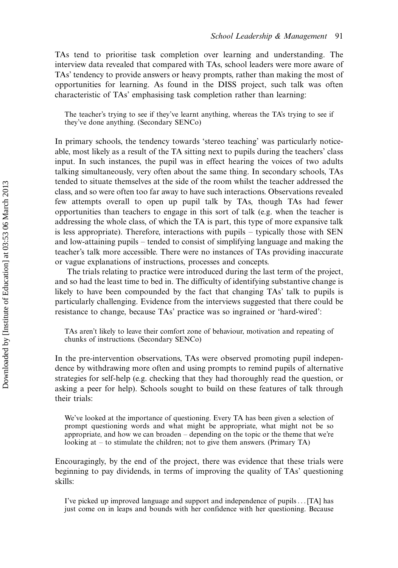TAs tend to prioritise task completion over learning and understanding. The interview data revealed that compared with TAs, school leaders were more aware of TAs' tendency to provide answers or heavy prompts, rather than making the most of opportunities for learning. As found in the DISS project, such talk was often characteristic of TAs' emphasising task completion rather than learning:

The teacher's trying to see if they've learnt anything, whereas the TA's trying to see if they've done anything. (Secondary SENCo)

In primary schools, the tendency towards 'stereo teaching' was particularly noticeable, most likely as a result of the TA sitting next to pupils during the teachers' class input. In such instances, the pupil was in effect hearing the voices of two adults talking simultaneously, very often about the same thing. In secondary schools, TAs tended to situate themselves at the side of the room whilst the teacher addressed the class, and so were often too far away to have such interactions. Observations revealed few attempts overall to open up pupil talk by TAs, though TAs had fewer opportunities than teachers to engage in this sort of talk (e.g. when the teacher is addressing the whole class, of which the TA is part, this type of more expansive talk is less appropriate). Therefore, interactions with pupils  $-$  typically those with SEN and low-attaining pupils  $-$  tended to consist of simplifying language and making the teacher's talk more accessible. There were no instances of TAs providing inaccurate or vague explanations of instructions, processes and concepts.

The trials relating to practice were introduced during the last term of the project, and so had the least time to bed in. The difficulty of identifying substantive change is likely to have been compounded by the fact that changing TAs' talk to pupils is particularly challenging. Evidence from the interviews suggested that there could be resistance to change, because TAs' practice was so ingrained or 'hard-wired':

TAs aren't likely to leave their comfort zone of behaviour, motivation and repeating of chunks of instructions. (Secondary SENCo)

In the pre-intervention observations, TAs were observed promoting pupil independence by withdrawing more often and using prompts to remind pupils of alternative strategies for self-help (e.g. checking that they had thoroughly read the question, or asking a peer for help). Schools sought to build on these features of talk through their trials:

We've looked at the importance of questioning. Every TA has been given a selection of prompt questioning words and what might be appropriate, what might not be so appropriate, and how we can broaden depending on the topic or the theme that we're looking at  $-$  to stimulate the children; not to give them answers. (Primary TA)

Encouragingly, by the end of the project, there was evidence that these trials were beginning to pay dividends, in terms of improving the quality of TAs' questioning skills:

I've picked up improved language and support and independence of pupils... [TA] has just come on in leaps and bounds with her confidence with her questioning. Because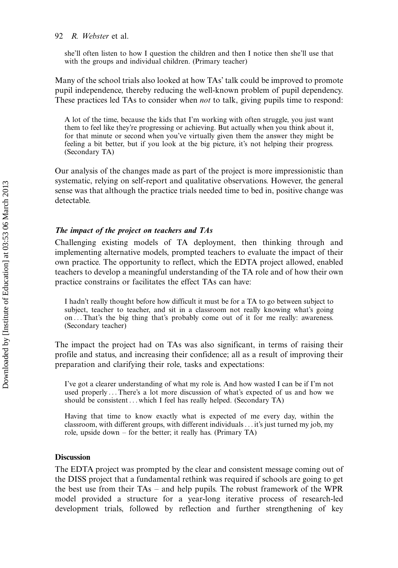# 92 R. Webster et al.

she'll often listen to how I question the children and then I notice then she'll use that with the groups and individual children. (Primary teacher)

Many of the school trials also looked at how TAs' talk could be improved to promote pupil independence, thereby reducing the well-known problem of pupil dependency. These practices led TAs to consider when *not* to talk, giving pupils time to respond:

A lot of the time, because the kids that I'm working with often struggle, you just want them to feel like they're progressing or achieving. But actually when you think about it, for that minute or second when you've virtually given them the answer they might be feeling a bit better, but if you look at the big picture, it's not helping their progress. (Secondary TA)

Our analysis of the changes made as part of the project is more impressionistic than systematic, relying on self-report and qualitative observations. However, the general sense was that although the practice trials needed time to bed in, positive change was detectable.

### The impact of the project on teachers and TAs

Challenging existing models of TA deployment, then thinking through and implementing alternative models, prompted teachers to evaluate the impact of their own practice. The opportunity to reflect, which the EDTA project allowed, enabled teachers to develop a meaningful understanding of the TA role and of how their own practice constrains or facilitates the effect TAs can have:

I hadn't really thought before how difficult it must be for a TA to go between subject to subject, teacher to teacher, and sit in a classroom not really knowing what's going on ...That's the big thing that's probably come out of it for me really: awareness. (Secondary teacher)

The impact the project had on TAs was also significant, in terms of raising their profile and status, and increasing their confidence; all as a result of improving their preparation and clarifying their role, tasks and expectations:

I've got a clearer understanding of what my role is. And how wasted I can be if I'm not used properly ...There's a lot more discussion of what's expected of us and how we should be consistent ... which I feel has really helped. (Secondary TA)

Having that time to know exactly what is expected of me every day, within the classroom, with different groups, with different individuals... it's just turned my job, my role, upside down  $-$  for the better; it really has. (Primary TA)

#### **Discussion**

The EDTA project was prompted by the clear and consistent message coming out of the DISS project that a fundamental rethink was required if schools are going to get the best use from their  $TAs - and help pupils$ . The robust framework of the WPR model provided a structure for a year-long iterative process of research-led development trials, followed by reflection and further strengthening of key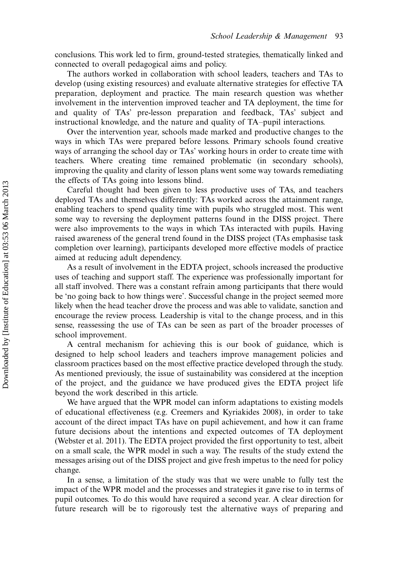conclusions. This work led to firm, ground-tested strategies, thematically linked and connected to overall pedagogical aims and policy.

The authors worked in collaboration with school leaders, teachers and TAs to develop (using existing resources) and evaluate alternative strategies for effective TA preparation, deployment and practice. The main research question was whether involvement in the intervention improved teacher and TA deployment, the time for and quality of TAs' pre-lesson preparation and feedback, TAs' subject and instructional knowledge, and the nature and quality of  $TA$ -pupil interactions.

Over the intervention year, schools made marked and productive changes to the ways in which TAs were prepared before lessons. Primary schools found creative ways of arranging the school day or TAs' working hours in order to create time with teachers. Where creating time remained problematic (in secondary schools), improving the quality and clarity of lesson plans went some way towards remediating the effects of TAs going into lessons blind.

Careful thought had been given to less productive uses of TAs, and teachers deployed TAs and themselves differently: TAs worked across the attainment range, enabling teachers to spend quality time with pupils who struggled most. This went some way to reversing the deployment patterns found in the DISS project. There were also improvements to the ways in which TAs interacted with pupils. Having raised awareness of the general trend found in the DISS project (TAs emphasise task completion over learning), participants developed more effective models of practice aimed at reducing adult dependency.

As a result of involvement in the EDTA project, schools increased the productive uses of teaching and support staff. The experience was professionally important for all staff involved. There was a constant refrain among participants that there would be 'no going back to how things were'. Successful change in the project seemed more likely when the head teacher drove the process and was able to validate, sanction and encourage the review process. Leadership is vital to the change process, and in this sense, reassessing the use of TAs can be seen as part of the broader processes of school improvement.

A central mechanism for achieving this is our book of guidance, which is designed to help school leaders and teachers improve management policies and classroom practices based on the most effective practice developed through the study. As mentioned previously, the issue of sustainability was considered at the inception of the project, and the guidance we have produced gives the EDTA project life beyond the work described in this article.

We have argued that the WPR model can inform adaptations to existing models of educational effectiveness (e.g. Creemers and Kyriakides 2008), in order to take account of the direct impact TAs have on pupil achievement, and how it can frame future decisions about the intentions and expected outcomes of TA deployment (Webster et al. 2011). The EDTA project provided the first opportunity to test, albeit on a small scale, the WPR model in such a way. The results of the study extend the messages arising out of the DISS project and give fresh impetus to the need for policy change.

In a sense, a limitation of the study was that we were unable to fully test the impact of the WPR model and the processes and strategies it gave rise to in terms of pupil outcomes. To do this would have required a second year. A clear direction for future research will be to rigorously test the alternative ways of preparing and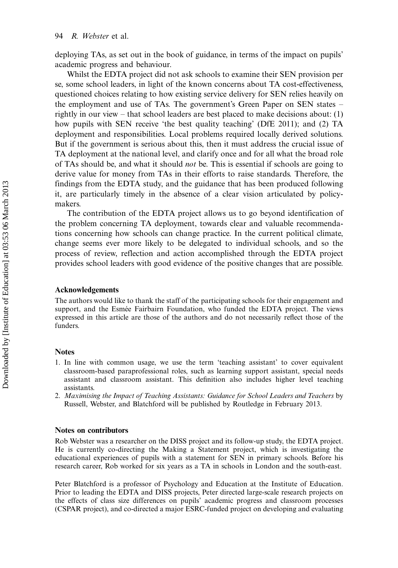deploying TAs, as set out in the book of guidance, in terms of the impact on pupils' academic progress and behaviour.

Whilst the EDTA project did not ask schools to examine their SEN provision per se, some school leaders, in light of the known concerns about TA cost-effectiveness, questioned choices relating to how existing service delivery for SEN relies heavily on the employment and use of TAs. The government's Green Paper on SEN states rightly in our view  $-$  that school leaders are best placed to make decisions about: (1) how pupils with SEN receive 'the best quality teaching' (DfE 2011); and (2) TA deployment and responsibilities. Local problems required locally derived solutions. But if the government is serious about this, then it must address the crucial issue of TA deployment at the national level, and clarify once and for all what the broad role of TAs should be, and what it should *not* be. This is essential if schools are going to derive value for money from TAs in their efforts to raise standards. Therefore, the findings from the EDTA study, and the guidance that has been produced following it, are particularly timely in the absence of a clear vision articulated by policymakers.

The contribution of the EDTA project allows us to go beyond identification of the problem concerning TA deployment, towards clear and valuable recommendations concerning how schools can change practice. In the current political climate, change seems ever more likely to be delegated to individual schools, and so the process of review, reflection and action accomplished through the EDTA project provides school leaders with good evidence of the positive changes that are possible.

# Acknowledgements

The authors would like to thank the staff of the participating schools for their engagement and support, and the Esmée Fairbairn Foundation, who funded the EDTA project. The views expressed in this article are those of the authors and do not necessarily reflect those of the funders.

### Notes

- 1. In line with common usage, we use the term 'teaching assistant' to cover equivalent classroom-based paraprofessional roles, such as learning support assistant, special needs assistant and classroom assistant. This definition also includes higher level teaching assistants.
- 2. Maximising the Impact of Teaching Assistants: Guidance for School Leaders and Teachers by Russell, Webster, and Blatchford will be published by Routledge in February 2013.

#### Notes on contributors

Rob Webster was a researcher on the DISS project and its follow-up study, the EDTA project. He is currently co-directing the Making a Statement project, which is investigating the educational experiences of pupils with a statement for SEN in primary schools. Before his research career, Rob worked for six years as a TA in schools in London and the south-east.

Peter Blatchford is a professor of Psychology and Education at the Institute of Education. Prior to leading the EDTA and DISS projects, Peter directed large-scale research projects on the effects of class size differences on pupils' academic progress and classroom processes (CSPAR project), and co-directed a major ESRC-funded project on developing and evaluating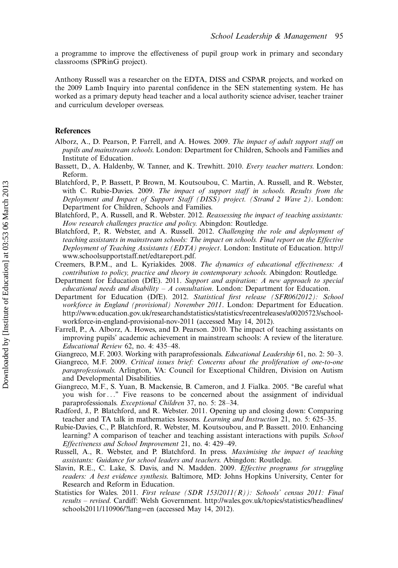a programme to improve the effectiveness of pupil group work in primary and secondary classrooms (SPRinG project).

Anthony Russell was a researcher on the EDTA, DISS and CSPAR projects, and worked on the 2009 Lamb Inquiry into parental confidence in the SEN statementing system. He has worked as a primary deputy head teacher and a local authority science adviser, teacher trainer and curriculum developer overseas.

# References

- Alborz, A., D. Pearson, P. Farrell, and A. Howes. 2009. The impact of adult support staff on pupils and mainstream schools. London: Department for Children, Schools and Families and Institute of Education.
- Bassett, D., A. Haldenby, W. Tanner, and K. Trewhitt. 2010. Every teacher matters. London: Reform.
- Blatchford, P., P. Bassett, P. Brown, M. Koutsoubou, C. Martin, A. Russell, and R. Webster, with C. Rubie-Davies. 2009. The impact of support staff in schools. Results from the Deployment and Impact of Support Staff (DISS) project. (Strand 2 Wave 2). London: Department for Children, Schools and Families.
- Blatchford, P., A. Russell, and R. Webster. 2012. Reassessing the impact of teaching assistants: How research challenges practice and policy. Abingdon: Routledge.
- Blatchford, P., R. Webster, and A. Russell. 2012. Challenging the role and deployment of teaching assistants in mainstream schools: The impact on schools. Final report on the Effective Deployment of Teaching Assistants (EDTA) project. London: Institute of Education. [http://](http://www.schoolsupportstaff.net/edtareport.pdf) [www.schoolsupportstaff.net/edtareport.pdf.](http://www.schoolsupportstaff.net/edtareport.pdf)
- Creemers, B.P.M., and L. Kyriakides. 2008. The dynamics of educational effectiveness: A contribution to policy, practice and theory in contemporary schools. Abingdon: Routledge.
- Department for Education (DfE). 2011. Support and aspiration: A new approach to special educational needs and disability  $-A$  consultation. London: Department for Education.
- Department for Education (DfE). 2012. Statistical first release (SFR06/2012): School workforce in England (provisional) November 2011. London: Department for Education. [http://www.education.gov.uk/researchandstatistics/statistics/recentreleases/a00205723/school](http://www.education.gov.uk/researchandstatistics/statistics/recentreleases/a00205723/school-workforce-in-england-provisional-nov-2011)[workforce-in-england-provisional-nov-2011](http://www.education.gov.uk/researchandstatistics/statistics/recentreleases/a00205723/school-workforce-in-england-provisional-nov-2011) (accessed May 14, 2012).
- Farrell, P., A. Alborz, A. Howes, and D. Pearson. 2010. The impact of teaching assistants on improving pupils' academic achievement in mainstream schools: A review of the literature. Educational Review 62, no. 4: 435–48.
- Giangreco, M.F. 2003. Working with paraprofessionals. *Educational Leadership* 61, no. 2: 50–3.
- Giangreco, M.F. 2009. Critical issues brief: Concerns about the proliferation of one-to-one paraprofessionals. Arlington, VA: Council for Exceptional Children, Division on Autism and Developmental Disabilities.
- Giangreco, M.F., S. Yuan, B. Mackensie, B. Cameron, and J. Fialka. 2005. "Be careful what you wish for...'' Five reasons to be concerned about the assignment of individual paraprofessionals. Exceptional Children 37, no. 5: 28-34.
- Radford, J., P. Blatchford, and R. Webster. 2011. Opening up and closing down: Comparing teacher and TA talk in mathematics lessons. *Learning and Instruction* 21, no. 5: 625–35.
- Rubie-Davies, C., P. Blatchford, R. Webster, M. Koutsoubou, and P. Bassett. 2010. Enhancing learning? A comparison of teacher and teaching assistant interactions with pupils. School Effectiveness and School Improvement 21, no. 4: 429-49.
- Russell, A., R. Webster, and P. Blatchford. In press. Maximising the impact of teaching assistants: Guidance for school leaders and teachers. Abingdon: Routledge.
- Slavin, R.E., C. Lake, S. Davis, and N. Madden. 2009. Effective programs for struggling readers: A best evidence synthesis. Baltimore, MD: Johns Hopkins University, Center for Research and Reform in Education.
- Statistics for Wales. 2011. First release (SDR 153/2011(R)): Schools' census 2011: Final results - revised. Cardiff: Welsh Government. [http://wales.gov.uk/topics/statistics/headlines/](http://wales.gov.uk/topics/statistics/headlines/schools2011/110906/?lang=en) [schools2011/110906/?lang](http://wales.gov.uk/topics/statistics/headlines/schools2011/110906/?lang=en)[-](http://wales.gov.uk/topics/statistics/headlines/schools2011/110906/?lang=en)[en](http://wales.gov.uk/topics/statistics/headlines/schools2011/110906/?lang=en) (accessed May 14, 2012).